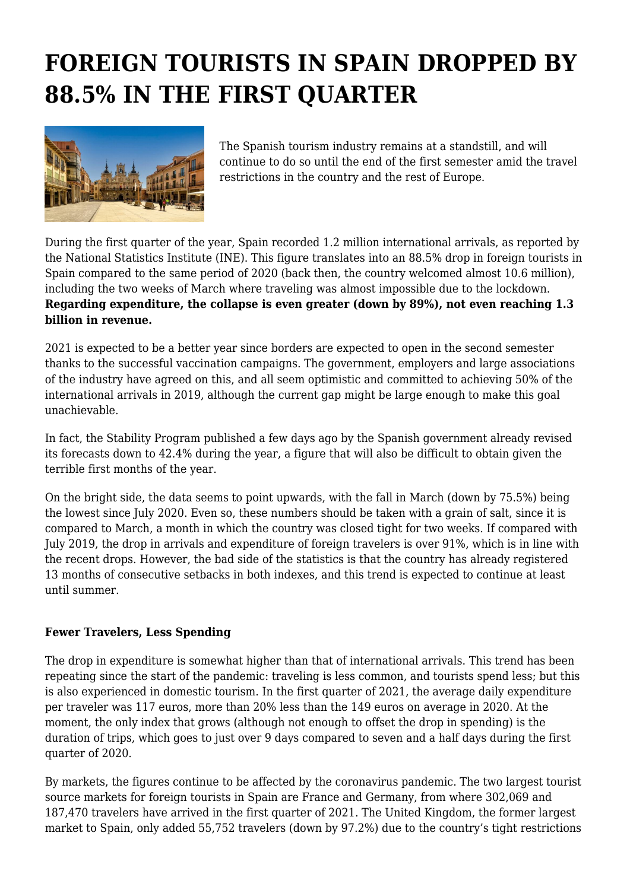## **FOREIGN TOURISTS IN SPAIN DROPPED BY 88.5% IN THE FIRST QUARTER**



The Spanish tourism industry remains at a standstill, and will continue to do so until the end of the first semester amid the travel restrictions in the country and the rest of Europe.

During the first quarter of the year, Spain recorded 1.2 million international arrivals, as reported by the National Statistics Institute (INE). This figure translates into an 88.5% drop in foreign tourists in Spain compared to the same period of 2020 (back then, the country welcomed almost 10.6 million), including the two weeks of March where traveling was almost impossible due to the lockdown. **Regarding expenditure, the collapse is even greater (down by 89%), not even reaching 1.3 billion in revenue.**

2021 is expected to be a better year since borders are expected to open in the second semester thanks to the successful vaccination campaigns. The government, employers and large associations of the industry have agreed on this, and all seem optimistic and committed to achieving 50% of the international arrivals in 2019, although the current gap might be large enough to make this goal unachievable.

In fact, the Stability Program published a few days ago by the Spanish government already revised its forecasts down to 42.4% during the year, a figure that will also be difficult to obtain given the terrible first months of the year.

On the bright side, the data seems to point upwards, with the fall in March (down by 75.5%) being the lowest since July 2020. Even so, these numbers should be taken with a grain of salt, since it is compared to March, a month in which the country was closed tight for two weeks. If compared with July 2019, the drop in arrivals and expenditure of foreign travelers is over 91%, which is in line with the recent drops. However, the bad side of the statistics is that the country has already registered 13 months of consecutive setbacks in both indexes, and this trend is expected to continue at least until summer.

## **Fewer Travelers, Less Spending**

The drop in expenditure is somewhat higher than that of international arrivals. This trend has been repeating since the start of the pandemic: traveling is less common, and tourists spend less; but this is also experienced in domestic tourism. In the first quarter of 2021, the average daily expenditure per traveler was 117 euros, more than 20% less than the 149 euros on average in 2020. At the moment, the only index that grows (although not enough to offset the drop in spending) is the duration of trips, which goes to just over 9 days compared to seven and a half days during the first quarter of 2020.

By markets, the figures continue to be affected by the coronavirus pandemic. The two largest tourist source markets for foreign tourists in Spain are France and Germany, from where 302,069 and 187,470 travelers have arrived in the first quarter of 2021. The United Kingdom, the former largest market to Spain, only added 55,752 travelers (down by 97.2%) due to the country's tight restrictions